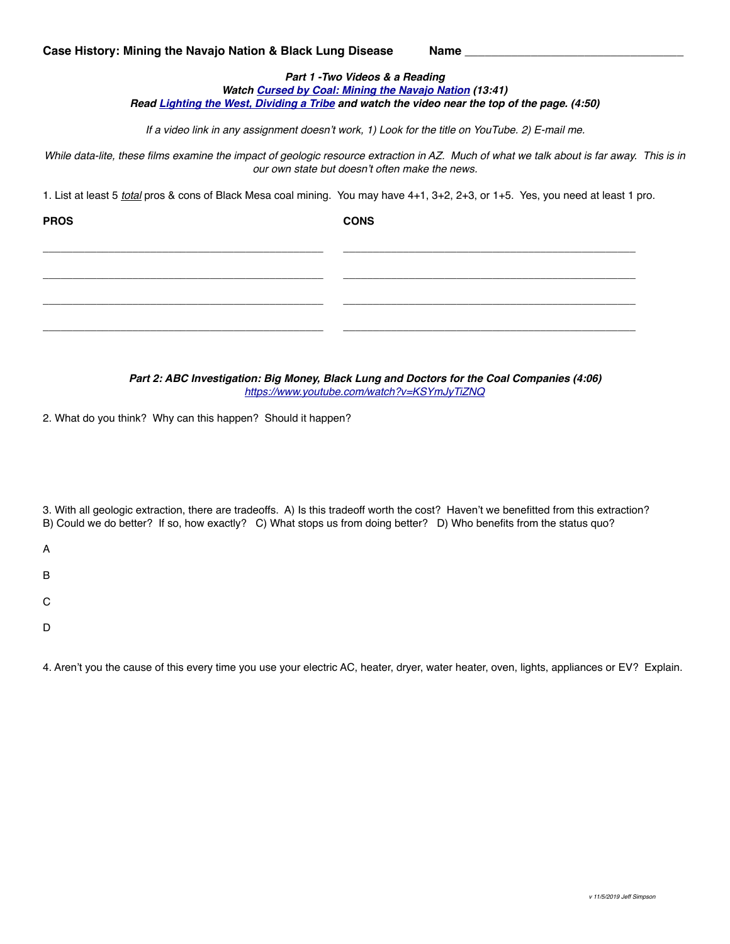## *Part 1 -Two Videos & a Reading Watch [Cursed by Coal: Mining the Navajo Nation](https://www.youtube.com/watch?v=F4uGCj6knVw) (13:41) Read [Lighting the West, Dividing a Tribe](https://www.nbcnews.com/specials/navajo-coal) and watch the video near the top of the page. (4:50)*

*If a video link in any assignment doesn't work, 1) Look for the title on YouTube. 2) E-mail me.*

*While data-lite, these films examine the impact of geologic resource extraction in AZ. Much of what we talk about is far away. This is in our own state but doesn't often make the news.*

1. List at least 5 *total* pros & cons of Black Mesa coal mining. You may have 4+1, 3+2, 2+3, or 1+5. Yes, you need at least 1 pro.

\_\_\_\_\_\_\_\_\_\_\_\_\_\_\_\_\_\_\_\_\_\_\_\_\_\_\_\_\_\_\_\_\_\_\_\_\_\_\_\_\_\_\_\_\_\_\_ \_\_\_\_\_\_\_\_\_\_\_\_\_\_\_\_\_\_\_\_\_\_\_\_\_\_\_\_\_\_\_\_\_\_\_\_\_\_\_\_\_\_\_\_\_\_\_\_\_

\_\_\_\_\_\_\_\_\_\_\_\_\_\_\_\_\_\_\_\_\_\_\_\_\_\_\_\_\_\_\_\_\_\_\_\_\_\_\_\_\_\_\_\_\_\_\_ \_\_\_\_\_\_\_\_\_\_\_\_\_\_\_\_\_\_\_\_\_\_\_\_\_\_\_\_\_\_\_\_\_\_\_\_\_\_\_\_\_\_\_\_\_\_\_\_\_

\_\_\_\_\_\_\_\_\_\_\_\_\_\_\_\_\_\_\_\_\_\_\_\_\_\_\_\_\_\_\_\_\_\_\_\_\_\_\_\_\_\_\_\_\_\_\_ \_\_\_\_\_\_\_\_\_\_\_\_\_\_\_\_\_\_\_\_\_\_\_\_\_\_\_\_\_\_\_\_\_\_\_\_\_\_\_\_\_\_\_\_\_\_\_\_\_

\_\_\_\_\_\_\_\_\_\_\_\_\_\_\_\_\_\_\_\_\_\_\_\_\_\_\_\_\_\_\_\_\_\_\_\_\_\_\_\_\_\_\_\_\_\_\_ \_\_\_\_\_\_\_\_\_\_\_\_\_\_\_\_\_\_\_\_\_\_\_\_\_\_\_\_\_\_\_\_\_\_\_\_\_\_\_\_\_\_\_\_\_\_\_\_\_

**PROS CONS**

*Part 2: ABC Investigation: Big Money, Black Lung and Doctors for the Coal Companies (4:06) <https://www.youtube.com/watch?v=KSYmJyTiZNQ>*

2. What do you think? Why can this happen? Should it happen?

3. With all geologic extraction, there are tradeoffs. A) Is this tradeoff worth the cost? Haven't we benefitted from this extraction? B) Could we do better? If so, how exactly? C) What stops us from doing better? D) Who benefits from the status quo?

A

B

C

D

4. Aren't you the cause of this every time you use your electric AC, heater, dryer, water heater, oven, lights, appliances or EV? Explain.